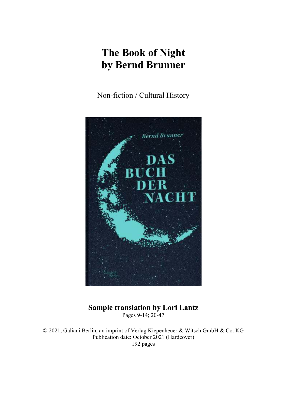# **The Book of Night by Bernd Brunner**

Non-fiction / Cultural History



## **Sample translation by Lori Lantz**  Pages 9-14; 20-47

© 2021, Galiani Berlin, an imprint of Verlag Kiepenheuer & Witsch GmbH & Co. KG Publication date: October 2021 (Hardcover) 192 pages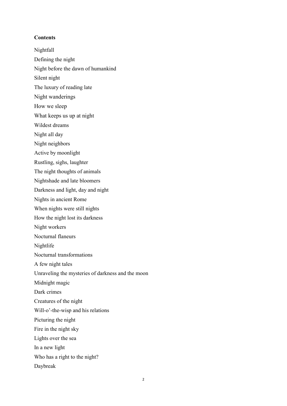#### **Contents**

- Nightfall Defining the night Night before the dawn of humankind
- Silent night
- The luxury of reading late
- Night wanderings
- How we sleep
- What keeps us up at night
- Wildest dreams
- Night all day
- Night neighbors
- Active by moonlight
- Rustling, sighs, laughter
- The night thoughts of animals
- Nightshade and late bloomers
- Darkness and light, day and night
- Nights in ancient Rome
- When nights were still nights
- How the night lost its darkness
- Night workers
- Nocturnal flaneurs
- Nightlife
- Nocturnal transformations
- A few night tales
- Unraveling the mysteries of darkness and the moon
- Midnight magic
- Dark crimes
- Creatures of the night
- Will-o'-the-wisp and his relations
- Picturing the night
- Fire in the night sky
- Lights over the sea
- In a new light
- Who has a right to the night?
- Daybreak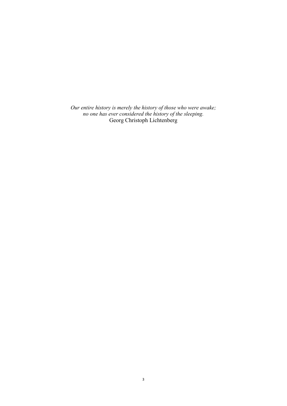*Our entire history is merely the history of those who were awake; no one has ever considered the history of the sleeping.*  Georg Christoph Lichtenberg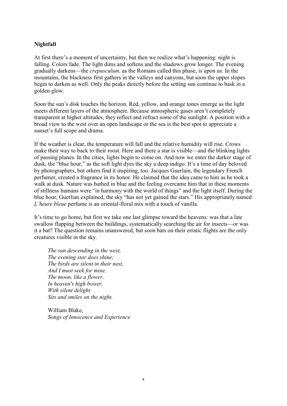## **Nightfall**

At first there's a moment of uncertainty, but then we realize what's happening: night is falling. Colors fade. The light dims and softens and the shadows grow longer. The evening gradually darkens—the *crepusculum,* as the Romans called this phase, is upon us*.* In the mountains, the blackness first gathers in the valleys and canyons, but soon the upper slopes begin to darken as well. Only the peaks directly before the setting sun continue to bask in a golden glow.

Soon the sun's disk touches the horizon. Red, yellow, and orange tones emerge as the light meets different layers of the atmosphere. Because atmospheric gases aren't completely transparent at higher altitudes, they reflect and refract some of the sunlight. A position with a broad view to the west over an open landscape or the sea is the best spot to appreciate a sunset's full scope and drama.

If the weather is clear, the temperature will fall and the relative humidity will rise. Crows make their way to back to their roost. Here and there a star is visible—and the blinking lights of passing planes. In the cities, lights begin to come on. And now we enter the darker stage of dusk, the "blue hour," as the soft light dyes the sky a deep indigo. It's a time of day beloved by photographers, but others find it inspiring, too. Jacques Guerlain, the legendary French perfumer, created a fragrance in its honor. He claimed that the idea came to him as he took a walk at dusk. Nature was bathed in blue and the feeling overcame him that in these moments of stillness humans were "in harmony with the world of things" and the light itself. During the blue hour, Guerlian explained, the sky "has not yet gained the stars." His appropriately named *L'heure bleue* perfume is an oriental-floral mix with a touch of vanilla.

It's time to go home, but first we take one last glimpse toward the heavens: was that a late swallow flapping between the buildings, systematically searching the air for insects—or was it a bat? The question remains unanswered, but soon bats on their erratic flights are the only creatures visible in the sky.

*The sun descending in the west, The evening star does shine; The birds are silent in their nest, And I must seek for mine. The moon, like a flower, In heaven's high bower, With silent delight Sits and smiles on the night.* 

William Blake, *Songs of Innocence and Experience*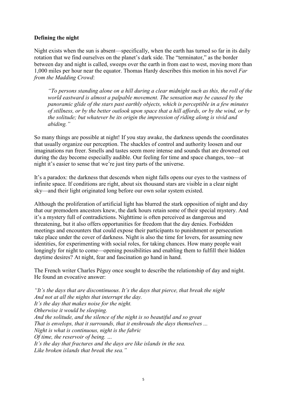## **Defining the night**

Night exists when the sun is absent—specifically, when the earth has turned so far in its daily rotation that we find ourselves on the planet's dark side. The "terminator," as the border between day and night is called, sweeps over the earth in from east to west, moving more than 1,000 miles per hour near the equator. Thomas Hardy describes this motion in his novel *Far from the Madding Crowd*:

*"To persons standing alone on a hill during a clear midnight such as this, the roll of the world eastward is almost a palpable movement. The sensation may be caused by the panoramic glide of the stars past earthly objects, which is perceptible in a few minutes of stillness, or by the better outlook upon space that a hill affords, or by the wind, or by the solitude; but whatever be its origin the impression of riding along is vivid and abiding."* 

So many things are possible at night! If you stay awake, the darkness upends the coordinates that usually organize our perception. The shackles of control and authority loosen and our imaginations run freer. Smells and tastes seem more intense and sounds that are drowned out during the day become especially audible. Our feeling for time and space changes, too—at night it's easier to sense that we're just tiny parts of the universe.

It's a paradox: the darkness that descends when night falls opens our eyes to the vastness of infinite space. If conditions are right, about six thousand stars are visible in a clear night sky—and their light originated long before our own solar system existed.

Although the proliferation of artificial light has blurred the stark opposition of night and day that our premodern ancestors knew, the dark hours retain some of their special mystery. And it's a mystery full of contradictions. Nighttime is often perceived as dangerous and threatening, but it also offers opportunities for freedom that the day denies. Forbidden meetings and encounters that could expose their participants to punishment or persecution take place under the cover of darkness. Night is also the time for lovers, for assuming new identities, for experimenting with social roles, for taking chances. How many people wait longingly for night to come—opening possibilities and enabling them to fulfill their hidden daytime desires? At night, fear and fascination go hand in hand.

The French writer Charles Péguy once sought to describe the relationship of day and night. He found an evocative answer:

*"It's the days that are discontinuous. It's the days that pierce, that break the night And not at all the nights that interrupt the day. It's the day that makes noise for the night. Otherwise it would be sleeping. And the solitude, and the silence of the night is so beautiful and so great That is envelops, that it surrounds, that it enshrouds the days themselves ... Night is what is continuous, night is the fabric Of time, the reservoir of being. … It's the day that fractures and the days are like islands in the sea. Like broken islands that break the sea."*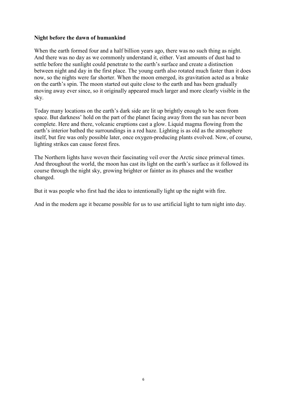## **Night before the dawn of humankind**

When the earth formed four and a half billion years ago, there was no such thing as night. And there was no day as we commonly understand it, either. Vast amounts of dust had to settle before the sunlight could penetrate to the earth's surface and create a distinction between night and day in the first place. The young earth also rotated much faster than it does now, so the nights were far shorter. When the moon emerged, its gravitation acted as a brake on the earth's spin. The moon started out quite close to the earth and has been gradually moving away ever since, so it originally appeared much larger and more clearly visible in the sky.

Today many locations on the earth's dark side are lit up brightly enough to be seen from space. But darkness' hold on the part of the planet facing away from the sun has never been complete. Here and there, volcanic eruptions cast a glow. Liquid magma flowing from the earth's interior bathed the surroundings in a red haze. Lighting is as old as the atmosphere itself, but fire was only possible later, once oxygen-producing plants evolved. Now, of course, lighting strikes can cause forest fires.

The Northern lights have woven their fascinating veil over the Arctic since primeval times. And throughout the world, the moon has cast its light on the earth's surface as it followed its course through the night sky, growing brighter or fainter as its phases and the weather changed.

But it was people who first had the idea to intentionally light up the night with fire.

And in the modern age it became possible for us to use artificial light to turn night into day.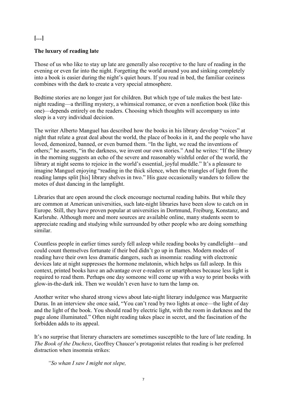## **[…]**

## **The luxury of reading late**

Those of us who like to stay up late are generally also receptive to the lure of reading in the evening or even far into the night. Forgetting the world around you and sinking completely into a book is easier during the night's quiet hours. If you read in bed, the familiar coziness combines with the dark to create a very special atmosphere.

Bedtime stories are no longer just for children. But which type of tale makes the best latenight reading—a thrilling mystery, a whimsical romance, or even a nonfiction book (like this one)—depends entirely on the readers. Choosing which thoughts will accompany us into sleep is a very individual decision.

The writer Alberto Manguel has described how the books in his library develop "voices" at night that relate a great deal about the world, the place of books in it, and the people who have loved, demonized, banned, or even burned them. "In the light, we read the inventions of others;" he asserts, "in the darkness, we invent our own stories." And he writes: "If the library in the morning suggests an echo of the severe and reasonably wishful order of the world, the library at night seems to rejoice in the world's essential, joyful muddle." It's a pleasure to imagine Manguel enjoying "reading in the thick silence, when the triangles of light from the reading lamps split [his] library shelves in two." His gaze occasionally wanders to follow the motes of dust dancing in the lamplight.

Libraries that are open around the clock encourage nocturnal reading habits. But while they are common at American universities, such late-night libraries have been slow to catch on in Europe. Still, they have proven popular at universities in Dortmund, Freiburg, Konstanz, and Karlsruhe. Although more and more sources are available online, many students seem to appreciate reading and studying while surrounded by other people who are doing something similar.

Countless people in earlier times surely fell asleep while reading books by candlelight—and could count themselves fortunate if their bed didn't go up in flames. Modern modes of reading have their own less dramatic dangers, such as insomnia: reading with electronic devices late at night suppresses the hormone melatonin, which helps us fall asleep. In this context, printed books have an advantage over e-readers or smartphones because less light is required to read them. Perhaps one day someone will come up with a way to print books with glow-in-the-dark ink. Then we wouldn't even have to turn the lamp on.

Another writer who shared strong views about late-night literary indulgence was Marguerite Duras. In an interview she once said, "You can't read by two lights at once—the light of day and the light of the book. You should read by electric light, with the room in darkness and the page alone illuminated." Often night reading takes place in secret, and the fascination of the forbidden adds to its appeal.

It's no surprise that literary characters are sometimes susceptible to the lure of late reading. In *The Book of the Duchess*, Geoffrey Chaucer's protagonist relates that reading is her preferred distraction when insomnia strikes:

*"So whan I saw I might not slepe,*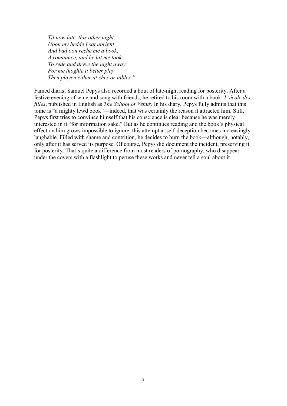*Til now late, this other night, Upon my bedde I sat upright And bad oon reche me a book, A romaunce, and he hit me took To rede and dryve the night away; For me thoghte it better play Then playen either at ches or tables."* 

Famed diarist Samuel Pepys also recorded a bout of late-night reading for posterity. After a festive evening of wine and song with friends, he retired to his room with a book: *L'école des filles*, published in English as *The School of Venus*. In his diary, Pepys fully admits that this tome is "a mighty lewd book"—indeed, that was certainly the reason it attracted him. Still, Pepys first tries to convince himself that his conscience is clear because he was merely interested in it "for information sake." But as he continues reading and the book's physical effect on him grows impossible to ignore, this attempt at self-deception becomes increasingly laughable. Filled with shame and contrition, he decides to burn the book—although, notably, only after it has served its purpose. Of course, Pepys did document the incident, preserving it for posterity. That's quite a difference from most readers of pornography, who disappear under the covers with a flashlight to peruse these works and never tell a soul about it.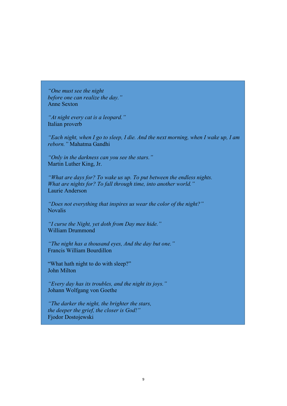*"One must see the night before one can realize the day."*  Anne Sexton

*"At night every cat is a leopard."*  Italian proverb

*"Each night, when I go to sleep, I die. And the next morning, when I wake up, I am reborn."* Mahatma Gandhi

*"Only in the darkness can you see the stars."*  Martin Luther King, Jr.

*"What are days for? To wake us up. To put between the endless nights. What are nights for? To fall through time, into another world."* Laurie Anderson

*"Does not everything that inspires us wear the color of the night?"*  Novalis

*"I curse the Night, yet doth from Day mee hide."*  William Drummond

*"The night has a thousand eyes, And the day but one."*  Francis William Bourdillon

"What hath night to do with sleep?" John Milton

*"Every day has its troubles, and the night its joys."*  Johann Wolfgang von Goethe

*"The darker the night, the brighter the stars, the deeper the grief, the closer is God!"*  Fjodor Dostojewski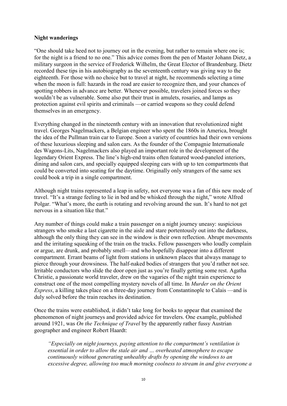## **Night wanderings**

"One should take heed not to journey out in the evening, but rather to remain where one is; for the night is a friend to no one." This advice comes from the pen of Master Johann Dietz, a military surgeon in the service of Frederick Wilhelm, the Great Elector of Brandenburg. Dietz recorded these tips in his autobiography as the seventeenth century was giving way to the eighteenth. For those with no choice but to travel at night, he recommends selecting a time when the moon is full: hazards in the road are easier to recognize then, and your chances of spotting robbers in advance are better. Whenever possible, travelers joined forces so they wouldn't be as vulnerable. Some also put their trust in amulets, rosaries, and lamps as protection against evil spirits and criminals —or carried weapons so they could defend themselves in an emergency.

Everything changed in the nineteenth century with an innovation that revolutionized night travel. Georges Nagelmackers, a Belgian engineer who spent the 1860s in America, brought the idea of the Pullman train car to Europe. Soon a variety of countries had their own versions of these luxurious sleeping and salon cars. As the founder of the Compagnie Internationale des Wagons-Lits, Nagelmackers also played an important role in the development of the legendary Orient Express. The line's high-end trains often featured wood-paneled interiors, dining and salon cars, and specially equipped sleeping cars with up to ten compartments that could be converted into seating for the daytime. Originally only strangers of the same sex could book a trip in a single compartment.

Although night trains represented a leap in safety, not everyone was a fan of this new mode of travel. "It's a strange feeling to lie in bed and be whisked through the night," wrote Alfred Polgar. "What's more, the earth is rotating and revolving around the sun. It's hard to not get nervous in a situation like that."

Any number of things could make a train passenger on a night journey uneasy: suspicious strangers who smoke a last cigarette in the aisle and stare portentously out into the darkness, although the only thing they can see in the window is their own reflection. Abrupt movements and the irritating squeaking of the train on the tracks. Fellow passengers who loudly complain or argue, are drunk, and probably smell—and who hopefully disappear into a different compartment. Errant beams of light from stations in unknown places that always manage to pierce through your drowsiness. The half-naked bodies of strangers that you'd rather not see. Irritable conductors who slide the door open just as you're finally getting some rest. Agatha Christie, a passionate world traveler, drew on the vagaries of the night train experience to construct one of the most compelling mystery novels of all time. In *Murder on the Orient Express*, a killing takes place on a three-day journey from Constantinople to Calais —and is duly solved before the train reaches its destination.

Once the trains were established, it didn't take long for books to appear that examined the phenomenon of night journeys and provided advice for travelers. One example, published around 1921, was *On the Technique of Travel* by the apparently rather fussy Austrian geographer and engineer Robert Haardt:

*"Especially on night journeys, paying attention to the compartment's ventilation is essential in order to allow the stale air and … overheated atmosphere to escape continuously without generating unhealthy drafts by opening the windows to an excessive degree, allowing too much morning coolness to stream in and give everyone a*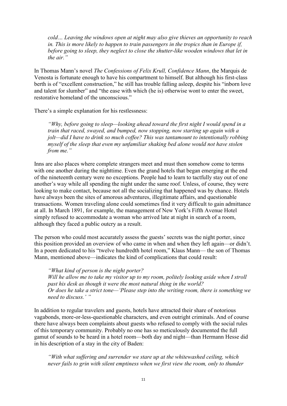*cold… Leaving the windows open at night may also give thieves an opportunity to reach in. This is more likely to happen to train passengers in the tropics than in Europe if, before going to sleep, they neglect to close the shutter-like wooden windows that let in the air."* 

In Thomas Mann's novel *The Confessions of Felix Krull, Confidence Mann*, the Marquis de Venosta is fortunate enough to have his compartment to himself. But although his first-class berth is of "excellent construction," he still has trouble falling asleep, despite his "inborn love and talent for slumber" and "the ease with which (he is) otherwise wont to enter the sweet, restorative homeland of the unconscious."

There's a simple explanation for his restlessness:

*"Why, before going to sleep—looking ahead toward the first night I would spend in a train that raced, swayed, and bumped, now stopping, now starting up again with a jolt—did I have to drink so much coffee? This was tantamount to intentionally robbing myself of the sleep that even my unfamiliar shaking bed alone would not have stolen from me."* 

Inns are also places where complete strangers meet and must then somehow come to terms with one another during the nighttime. Even the grand hotels that began emerging at the end of the nineteenth century were no exceptions. People had to learn to tactfully stay out of one another's way while all spending the night under the same roof. Unless, of course, they were looking to make contact, because not all the socializing that happened was by chance. Hotels have always been the sites of amorous adventures, illegitimate affairs, and questionable transactions. Women traveling alone could sometimes find it very difficult to gain admittance at all. In March 1891, for example, the management of New York's Fifth Avenue Hotel simply refused to accommodate a woman who arrived late at night in search of a room, although they faced a public outcry as a result.

The person who could most accurately assess the guests' secrets was the night porter, since this position provided an overview of who came in when and when they left again—or didn't. In a poem dedicated to his "twelve hundredth hotel room," Klaus Mann— the son of Thomas Mann, mentioned above—indicates the kind of complications that could result:

*"What kind of person is the night porter? Will he allow me to take my visitor up to my room, politely looking aside when I stroll past his desk as though it were the most natural thing in the world? Or does he take a strict tone—'Please step into the writing room, there is something we need to discuss.' "* 

In addition to regular travelers and guests, hotels have attracted their share of notorious vagabonds, more-or-less-questionable characters, and even outright criminals. And of course there have always been complaints about guests who refused to comply with the social rules of this temporary community. Probably no one has so meticulously documented the full gamut of sounds to be heard in a hotel room—both day and night—than Hermann Hesse did in his description of a stay in the city of Baden:

*"With what suffering and surrender we stare up at the whitewashed ceiling, which never fails to grin with silent emptiness when we first view the room, only to thunder*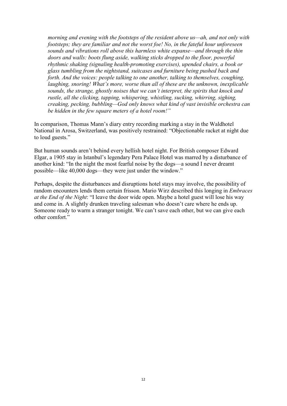*morning and evening with the footsteps of the resident above us—ah, and not only with footsteps; they are familiar and not the worst foe! No, in the fateful hour unforeseen sounds and vibrations roll above this harmless white expanse—and through the thin doors and walls: boots flung aside, walking sticks dropped to the floor, powerful rhythmic shaking (signaling health-promoting exercises), upended chairs, a book or glass tumbling from the nightstand, suitcases and furniture being pushed back and forth. And the voices: people talking to one another, talking to themselves, coughing, laughing, snoring! What's more, worse than all of these are the unknown, inexplicable sounds, the strange, ghostly noises that we can't interpret, the spirits that knock and rustle, all the clicking, tapping, whispering, whistling, sucking, whirring, sighing, creaking, pecking, bubbling—God only knows what kind of vast invisible orchestra can be hidden in the few square meters of a hotel room!"* 

In comparison, Thomas Mann's diary entry recording marking a stay in the Waldhotel National in Arosa, Switzerland, was positively restrained: "Objectionable racket at night due to loud guests."

But human sounds aren't behind every hellish hotel night. For British composer Edward Elgar, a 1905 stay in Istanbul's legendary Pera Palace Hotel was marred by a disturbance of another kind: "In the night the most fearful noise by the dogs—a sound I never dreamt possible—like 40,000 dogs—they were just under the window."

Perhaps, despite the disturbances and disruptions hotel stays may involve, the possibility of random encounters lends them certain frisson. Mario Wirz described this longing in *Embraces at the End of the Night*: "I leave the door wide open. Maybe a hotel guest will lose his way and come in. A slightly drunken traveling salesman who doesn't care where he ends up. Someone ready to warm a stranger tonight. We can't save each other, but we can give each other comfort."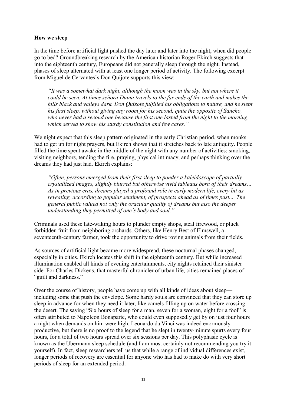## **How we sleep**

In the time before artificial light pushed the day later and later into the night, when did people go to bed? Groundbreaking research by the American historian Roger Ekirch suggests that into the eighteenth century, Europeans did not generally sleep through the night. Instead, phases of sleep alternated with at least one longer period of activity. The following excerpt from Miguel de Cervantes's Don Quijote supports this view:

*"It was a somewhat dark night, although the moon was in the sky, but not where it could be seen. At times señora Diana travels to the far ends of the earth and makes the hills black and valleys dark. Don Quixote fulfilled his obligations to nature, and he slept his first sleep, without giving any room for his second, quite the opposite of Sancho, who never had a second one because the first one lasted from the night to the morning, which served to show his sturdy constitution and few cares."* 

We night expect that this sleep pattern originated in the early Christian period, when monks had to get up for night prayers, but Ekirch shows that it stretches back to late antiquity. People filled the time spent awake in the middle of the night with any number of activities: smoking, visiting neighbors, tending the fire, praying, physical intimacy, and perhaps thinking over the dreams they had just had. Ekirch explains:

*"Often, persons emerged from their first sleep to ponder a kaleidoscope of partially crystallized images, slightly blurred but otherwise vivid tableaus born of their dreams… As in previous eras, dreams played a profound role in early modern life, every bit as revealing, according to popular sentiment, of prospects ahead as of times past.... The general public valued not only the oracular quality of dreams but also the deeper understanding they permitted of one's body and soul."* 

Criminals used these late-waking hours to plunder empty shops, steal firewood, or pluck forbidden fruit from neighboring orchards. Others, like Henry Best of Elmswell, a seventeenth-century farmer, took the opportunity to drive roving animals from their fields.

As sources of artificial light became more widespread, these nocturnal phases changed, especially in cities. Ekirch locates this shift in the eighteenth century. But while increased illumination enabled all kinds of evening entertainments, city nights retained their sinister side. For Charles Dickens, that masterful chronicler of urban life, cities remained places of "guilt and darkness."

Over the course of history, people have come up with all kinds of ideas about sleep including some that push the envelope. Some hardy souls are convinced that they can store up sleep in advance for when they need it later, like camels filling up on water before crossing the desert. The saying "Six hours of sleep for a man, seven for a woman, eight for a fool" is often attributed to Napoleon Bonaparte, who could even supposedly get by on just four hours a night when demands on him were high. Leonardo da Vinci was indeed enormously productive, but there is no proof to the legend that he slept in twenty-minute spurts every four hours, for a total of two hours spread over six sessions per day. This polyphasic cycle is known as the Ubermann sleep schedule (and I am most certainly not recommending you try it yourself). In fact, sleep researchers tell us that while a range of individual differences exist, longer periods of recovery are essential for anyone who has had to make do with very short periods of sleep for an extended period.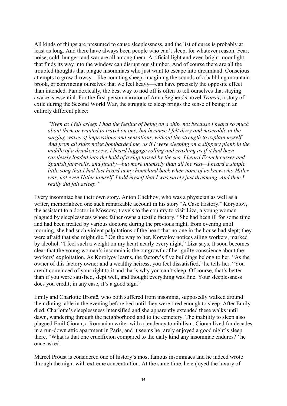All kinds of things are presumed to cause sleeplessness, and the list of cures is probably at least as long. And there have always been people who can't sleep, for whatever reason. Fear, noise, cold, hunger, and war are all among them. Artificial light and even bright moonlight that finds its way into the window can disrupt our slumber. And of course there are all the troubled thoughts that plague insomniacs who just want to escape into dreamland. Conscious attempts to grow drowsy—like counting sheep, imagining the sounds of a babbling mountain brook, or convincing ourselves that we feel heavy—can have precisely the opposite effect than intended. Paradoxically, the best way to nod off is often to tell ourselves that staying awake is essential. For the first-person narrator of Anna Seghers's novel *Transit*, a story of exile during the Second World War, the struggle to sleep brings the sense of being in an entirely different place:

*"Even as I fell asleep I had the feeling of being on a ship, not because I heard so much about them or wanted to travel on one, but because I felt dizzy and miserable in the surging waves of impressions and sensations, without the strength to explain myself. And from all sides noise bombarded me, as if I were sleeping on a slippery plank in the middle of a drunken crew. I heard luggage rolling and crashing as if it had been carelessly loaded into the hold of a ship tossed by the sea. I heard French curses and Spanish farewells, and finally—but more intensely than all the rest—I heard a simple little song that I had last heard in my homeland back when none of us knew who Hitler was, not even Hitler himself. I told myself that I was surely just dreaming. And then I really did fall asleep."* 

Every insomniac has their own story. Anton Chekhov, who was a physician as well as a writer, memorialized one such remarkable account in his story "A Case History." Koryolov, the assistant to a doctor in Moscow, travels to the country to visit Liza, a young woman plagued by sleeplessness whose father owns a textile factory. "She had been ill for some time and had been treated by various doctors; during the previous night, from evening until morning, she had such violent palpitations of the heart that no one in the house had slept; they were afraid that she might die." On the way to her, Koryolov notices ailing workers, marked by alcohol. "I feel such a weight on my heart nearly every night," Liza says. It soon becomes clear that the young woman's insomnia is the outgrowth of her guilty conscience about the workers' exploitation. As Korolyov learns, the factory's five buildings belong to her. "As the owner of this factory owner and a wealthy heiress, you feel dissatisfied," he tells her. "You aren't convinced of your right to it and that's why you can't sleep. Of course, that's better than if you were satisfied, slept well, and thought everything was fine. Your sleeplessness does you credit; in any case, it's a good sign."

Emily and Charlotte Brontë, who both suffered from insomnia, supposedly walked around their dining table in the evening before bed until they were tired enough to sleep. After Emily died, Charlotte's sleeplessness intensified and she apparently extended these walks until dawn, wandering through the neighborhood and to the cemetery. The inability to sleep also plagued Emil Cioran, a Romanian writer with a tendency to nihilism. Cioran lived for decades in a run-down attic apartment in Paris, and it seems he rarely enjoyed a good night's sleep there. "What is that one crucifixion compared to the daily kind any insomniac endures?" he once asked.

Marcel Proust is considered one of history's most famous insomniacs and he indeed wrote through the night with extreme concentration. At the same time, he enjoyed the luxury of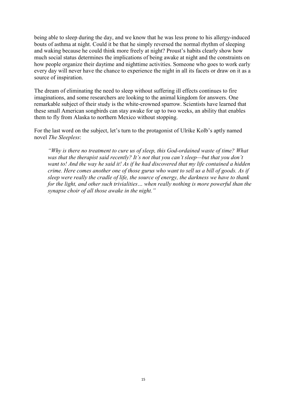being able to sleep during the day, and we know that he was less prone to his allergy-induced bouts of asthma at night. Could it be that he simply reversed the normal rhythm of sleeping and waking because he could think more freely at night? Proust's habits clearly show how much social status determines the implications of being awake at night and the constraints on how people organize their daytime and nighttime activities. Someone who goes to work early every day will never have the chance to experience the night in all its facets or draw on it as a source of inspiration.

The dream of eliminating the need to sleep without suffering ill effects continues to fire imaginations, and some researchers are looking to the animal kingdom for answers. One remarkable subject of their study is the white-crowned sparrow. Scientists have learned that these small American songbirds can stay awake for up to two weeks, an ability that enables them to fly from Alaska to northern Mexico without stopping.

For the last word on the subject, let's turn to the protagonist of Ulrike Kolb's aptly named novel *The Sleepless*:

*"Why is there no treatment to cure us of sleep, this God-ordained waste of time? What was that the therapist said recently? It's not that you can't sleep—but that you don't want to! And the way he said it! As if he had discovered that my life contained a hidden crime. Here comes another one of those gurus who want to sell us a bill of goods. As if sleep were really the cradle of life, the source of energy, the darkness we have to thank for the light, and other such trivialities… when really nothing is more powerful than the synapse choir of all those awake in the night."*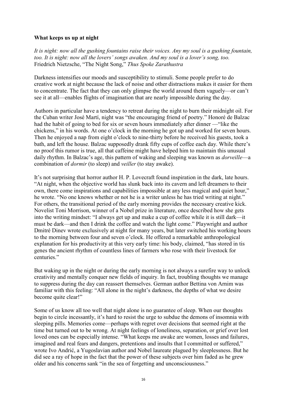### **What keeps us up at night**

*It is night: now all the gushing fountains raise their voices. Any my soul is a gushing fountain, too. It is night: now all the lovers' songs awaken. And my soul is a lover's song, too.*  Friedrich Nietzsche, "The Night Song," *Thus Spoke Zarathustra* 

Darkness intensifies our moods and susceptibility to stimuli. Some people prefer to do creative work at night because the lack of noise and other distractions makes it easier for them to concentrate. The fact that they can only glimpse the world around them vaguely—or can't see it at all—enables flights of imagination that are nearly impossible during the day.

Authors in particular have a tendency to retreat during the night to burn their midnight oil. For the Cuban writer José Martí, night was "the encouraging friend of poetry." Honoré de Balzac had the habit of going to bed for six or seven hours immediately after dinner —"like the chickens," in his words. At one o'clock in the morning he got up and worked for seven hours. Then he enjoyed a nap from eight o'clock to nine-thirty before he received his guests, took a bath, and left the house. Balzac supposedly drank fifty cups of coffee each day. While there's no proof this rumor is true, all that caffeine might have helped him to maintain this unusual daily rhythm. In Balzac's age, this pattern of waking and sleeping was known as *dorveille*—a combination of *dormir* (to sleep) and *veiller* (to stay awake).

It's not surprising that horror author H. P. Lovecraft found inspiration in the dark, late hours. "At night, when the objective world has slunk back into its cavern and left dreamers to their own, there come inspirations and capabilities impossible at any less magical and quiet hour," he wrote. "No one knows whether or not he is a writer unless he has tried writing at night." For others, the transitional period of the early morning provides the necessary creative kick. Novelist Toni Morrison, winner of a Nobel prize in literature, once described how she gets into the writing mindset: "I always get up and make a cup of coffee while it is still dark—it must be dark—and then I drink the coffee and watch the light come." Playwright and author Dmitré Dinev wrote exclusively at night for many years, but later switched his working hours to the morning between four and seven o'clock. He offered a remarkable anthropological explanation for his productivity at this very early time: his body, claimed, "has stored in tis genes the ancient rhythm of countless lines of farmers who rose with their livestock for centuries."

But waking up in the night or during the early morning is not always a surefire way to unlock creativity and mentally conquer new fields of inquiry. In fact, troubling thoughts we manage to suppress during the day can reassert themselves. German author Bettina von Arnim was familiar with this feeling: "All alone in the night's darkness, the depths of what we desire become quite clear!"

Some of us know all too well that night alone is no guarantee of sleep. When our thoughts begin to circle incessantly, it's hard to resist the urge to subdue the demons of insomnia with sleeping pills. Memories come—perhaps with regret over decisions that seemed right at the time but turned out to be wrong. At night feelings of loneliness, separation, or grief over lost loved ones can be especially intense. "What keeps me awake are women, losses and failures, imagined and real fears and dangers, pretentions and insults that I committed or suffered," wrote Ivo Andrić, a Yugoslavian author and Nobel laureate plagued by sleeplessness. But he did see a ray of hope in the fact that the power of these subjects over him faded as he grew older and his concerns sank "in the sea of forgetting and unconsciousness."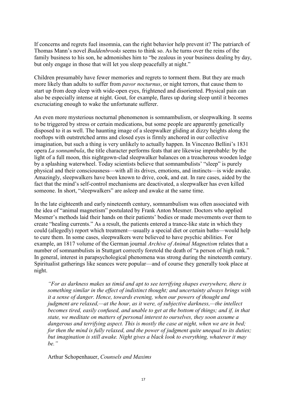If concerns and regrets fuel insomnia, can the right behavior help prevent it? The patriarch of Thomas Mann's novel *Buddenbrooks* seems to think so. As he turns over the reins of the family business to his son, he admonishes him to "be zealous in your business dealing by day, but only engage in those that will let you sleep peacefully at night."

Children presumably have fewer memories and regrets to torment them. But they are much more likely than adults to suffer from *pavor nocturnus*, or night terrors, that cause them to start up from deep sleep with wide-open eyes, frightened and disoriented. Physical pain can also be especially intense at night. Gout, for example, flares up during sleep until it becomes excruciating enough to wake the unfortunate sufferer.

An even more mysterious nocturnal phenomenon is somnambulism, or sleepwalking. It seems to be triggered by stress or certain medications, but some people are apparently genetically disposed to it as well. The haunting image of a sleepwalker gliding at dizzy heights along the rooftops with outstretched arms and closed eyes is firmly anchored in our collective imagination, but such a thing is very unlikely to actually happen. In Vincenzo Bellini's 1831 opera *La sonnambula*, the title character performs feats that are likewise improbable: by the light of a full moon, this nightgown-clad sleepwalker balances on a treacherous wooden ledge by a splashing waterwheel. Today scientists believe that somnambulists' "sleep" is purely physical and their consciousness—with all its drives, emotions, and instincts—is wide awake. Amazingly, sleepwalkers have been known to drive, cook, and eat. In rare cases, aided by the fact that the mind's self-control mechanisms are deactivated, a sleepwalker has even killed someone. In short, "sleepwalkers" are asleep and awake at the same time.

In the late eighteenth and early nineteenth century, somnambulism was often associated with the idea of "animal magnetism" postulated by Frank Anton Mesmer. Doctors who applied Mesmer's methods laid their hands on their patients' bodies or made movements over them to create "healing currents." As a result, the patients entered a trance-like state in which they could (allegedly) report which treatment—usually a special diet or certain baths—would help to cure them. In some cases, sleepwalkers were believed to have psychic abilities. For example, an 1817 volume of the German journal *Archive of Animal Magnetism* relates that a number of somnambulists in Stuttgart correctly foretold the death of "a person of high rank." In general, interest in parapsychological phenomena was strong during the nineteenth century. Spiritualist gatherings like seances were popular—and of course they generally took place at night.

*"For as darkness makes us timid and apt to see terrifying shapes everywhere, there is something similar in the effect of indistinct thought; and uncertainty always brings with it a sense of danger. Hence, towards evening, when our powers of thought and judgment are relaxed,—at the hour, as it were, of subjective darkness,—the intellect becomes tired, easily confused, and unable to get at the bottom of things; and if, in that state, we meditate on matters of personal interest to ourselves, they soon assume a dangerous and terrifying aspect. This is mostly the case at night, when we are in bed; for then the mind is fully relaxed, and the power of judgment quite unequal to its duties; but imagination is still awake. Night gives a black look to everything, whatever it may be."* 

Arthur Schopenhauer, *Counsels and Maxims*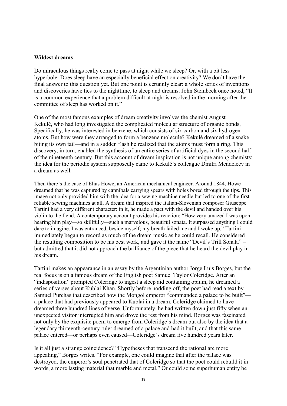#### **Wildest dreams**

Do miraculous things really come to pass at night while we sleep? Or, with a bit less hyperbole: Does sleep have an especially beneficial effect on creativity? We don't have the final answer to this question yet. But one point is certainly clear: a whole series of inventions and discoveries have ties to the nighttime, to sleep and dreams. John Steinbeck once noted, "It is a common experience that a problem difficult at night is resolved in the morning after the committee of sleep has worked on it."

One of the most famous examples of dream creativity involves the chemist August Kekulé, who had long investigated the complicated molecular structure of organic bonds, Specifically, he was interested in benzene, which consists of six carbon and six hydrogen atoms. But how were they arranged to form a benzene molecule? Kekulé dreamed of a snake biting its own tail—and in a sudden flash he realized that the atoms must form a ring. This discovery, in turn, enabled the synthesis of an entire series of artificial dyes in the second half of the nineteenth century. But this account of dream inspiration is not unique among chemists: the idea for the periodic system supposedly came to Kekulé's colleague Dmitri Mendeleev in a dream as well.

Then there's the case of Elias Howe, an American mechanical engineer. Around 1844, Howe dreamed that he was captured by cannibals carrying spears with holes bored through the tips. This image not only provided him with the idea for a sewing machine needle but led to one of the first reliable sewing machines at all. A dream that inspired the Italian-Slovenian composer Giuseppe Tartini had a very different character: in it, he made a pact with the devil and handed over his violin to the fiend. A contemporary account provides his reaction: "How very amazed I was upon hearing him play—so skillfully—such a marvelous, beautiful sonata. It surpassed anything I could dare to imagine. I was entranced, beside myself; my breath failed me and I woke up." Tartini immediately began to record as much of the dream music as he could recall. He considered the resulting composition to be his best work, and gave it the name "Devil's Trill Sonata" – but admitted that it did not approach the brilliance of the piece that he heard the devil play in his dream.

Tartini makes an appearance in an essay by the Argentinian author Jorge Luis Borges, but the real focus is on a famous dream of the English poet Samuel Taylor Coleridge. After an "indisposition" prompted Coleridge to ingest a sleep aid containing opium, he dreamed a series of verses about Kublai Khan. Shortly before nodding off, the poet had read a text by Samuel Purchas that described how the Mongol emperor "commanded a palace to be built" a palace that had previously appeared to Kublai in a dream. Coleridge claimed to have dreamed three hundred lines of verse. Unfortunately, he had written down just fifty when an unexpected visitor interrupted him and drove the rest from his mind. Borges was fascinated not only by the exquisite poem to emerge from Coleridge's dream but also by the idea that a legendary thirteenth-century ruler dreamed of a palace and had it built, and that this same palace entered—or perhaps even caused—Coleridge's dream five hundred years later.

Is it all just a strange coincidence? "Hypotheses that transcend the rational are more appealing," Borges writes. "For example, one could imagine that after the palace was destroyed, the emperor's soul penetrated that of Coleridge so that the poet could rebuild it in words, a more lasting material that marble and metal." Or could some superhuman entity be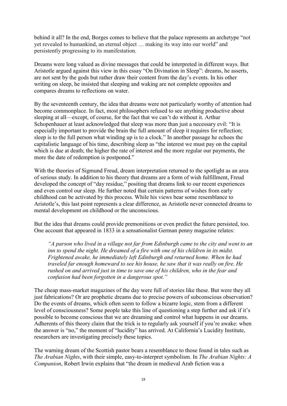behind it all? In the end, Borges comes to believe that the palace represents an archetype "not yet revealed to humankind, an eternal object … making its way into our world" and persistently progressing to its manifestation.

Dreams were long valued as divine messages that could be interpreted in different ways. But Aristotle argued against this view in this essay "On Divination in Sleep": dreams, he asserts, are not sent by the gods but rather draw their content from the day's events. In his other writing on sleep, he insisted that sleeping and waking are not complete opposites and compares dreams to reflections on water.

By the seventeenth century, the idea that dreams were not particularly worthy of attention had become commonplace. In fact, most philosophers refused to see anything productive about sleeping at all—except, of course, for the fact that we can't do without it. Arthur Schopenhauer at least acknowledged that sleep was more than just a necessary evil: "It is especially important to provide the brain the full amount of sleep it requires for reflection; sleep is to the full person what winding up is to a clock." In another passage he echoes the capitalistic language of his time, describing sleep as "the interest we must pay on the capital which is due at death; the higher the rate of interest and the more regular our payments, the more the date of redemption is postponed."

With the theories of Sigmund Freud, dream interpretation returned to the spotlight as an area of serious study. In addition to his theory that dreams are a form of wish fulfillment, Freud developed the concept of "day residue," positing that dreams link to our recent experiences and even control our sleep. He further noted that certain patterns of wishes from early childhood can be activated by this process. While his views bear some resemblance to Aristotle's, this last point represents a clear difference, as Aristotle never connected dreams to mental development on childhood or the unconscious.

But the idea that dreams could provide premonitions or even predict the future persisted, too. One account that appeared in 1833 in a sensationalist German penny magazine relates:

*"A parson who lived in a village not far from Edinburgh came to the city and went to an inn to spend the night. He dreamed of a fire with one of his children in its midst. Frightened awake, he immediately left Edinburgh and returned home. When he had traveled far enough homeward to see his house, he saw that it was really on fire. He rushed on and arrived just in time to save one of his children, who in the fear and confusion had been forgotten in a dangerous spot."* 

The cheap mass-market magazines of the day were full of stories like these. But were they all just fabrications? Or are prophetic dreams due to precise powers of subconscious observation? Do the events of dreams, which often seem to follow a bizarre logic, stem from a different level of consciousness? Some people take this line of questioning a step further and ask if it's possible to become conscious that we are dreaming and control what happens in our dreams. Adherents of this theory claim that the trick is to regularly ask yourself if you're awake: when the answer is "no," the moment of "lucidity" has arrived. At California's Lucidity Institute, researchers are investigating precisely these topics.

The warning dream of the Scottish pastor bears a resemblance to those found in tales such as *The Arabian Nights*, with their simple, easy-to-interpret symbolism. In *The Arabian Nights: A Companion*, Robert Irwin explains that "the dream in medieval Arab fiction was a